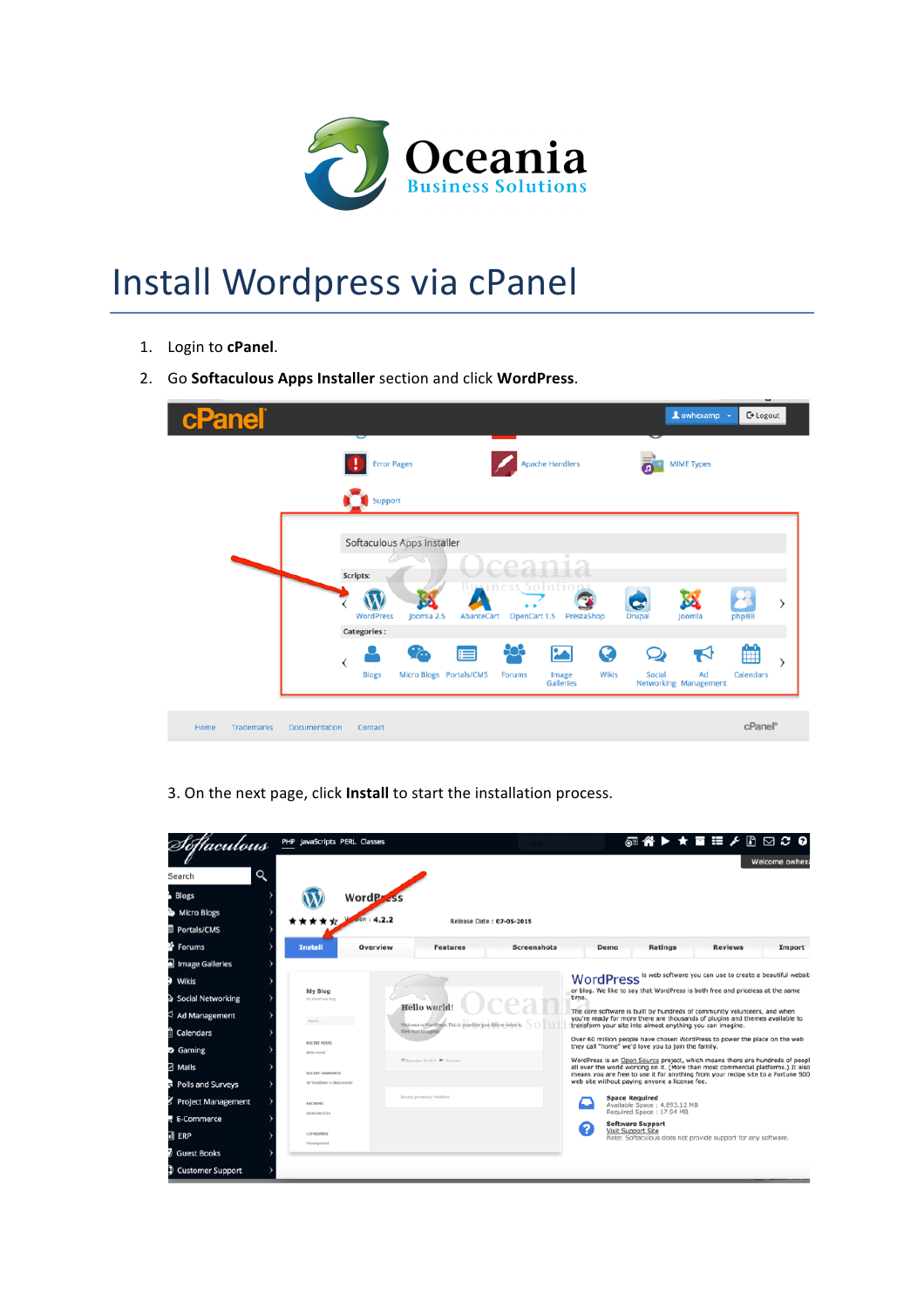

## Install Wordpress via cPanel

- 1. Login to cPanel.
- 2. Go **Softaculous Apps Installer** section and click **WordPress**.

| cPanel                    |                                                                                                                                                                     | Lowhexamp +                                         | -<br><b>←</b> Logout |
|---------------------------|---------------------------------------------------------------------------------------------------------------------------------------------------------------------|-----------------------------------------------------|----------------------|
|                           | T<br><b>Error Pages</b><br><b>Apache Handlers</b><br>Support                                                                                                        | <b>MIME Types</b>                                   |                      |
|                           | Softaculous Apps Installer<br>Scripts:<br>Solutic<br>PPCC<br>Ğ<br>Joomla 2.5<br>OpenCart 1.5<br>PrestaShop<br>WordPress<br>AbanteCart<br>Drupal                     | S٤<br>Joomla                                        | ⋋<br>phpBB           |
|                           | Categories:<br>808<br>0<br>t.<br>$\mathbf{z}$<br>⊫<br>∢<br><b>Blogs</b><br>Micro Blogs Portals/CMS<br>Wikis<br>Social<br><b>Forums</b><br>Image<br><b>Galleries</b> | $\blacktriangledown$<br>Ad<br>Networking Management | 雦<br>><br>Calendars  |
| <b>Trademarks</b><br>Home | <b>Documentation</b><br>Contact                                                                                                                                     |                                                     | cPanel <sup>®</sup>  |

3. On the next page, click Install to start the installation process.

|                          | PHP JavaScripts PERL Classes               |                              |                                                                   |                          |       |                                                                                                                                                                                                                                                       |                | ◎谷▶★■〓♪8 ⊠ 3 0 |
|--------------------------|--------------------------------------------|------------------------------|-------------------------------------------------------------------|--------------------------|-------|-------------------------------------------------------------------------------------------------------------------------------------------------------------------------------------------------------------------------------------------------------|----------------|----------------|
| Q<br>Search              |                                            |                              |                                                                   |                          |       |                                                                                                                                                                                                                                                       |                | Welcome owhexa |
| <b>Blogs</b>             |                                            |                              |                                                                   |                          |       |                                                                                                                                                                                                                                                       |                |                |
| <b>Micro Blogs</b><br>27 |                                            | WordP                        |                                                                   |                          |       |                                                                                                                                                                                                                                                       |                |                |
| Portals/CMS              |                                            | 4.2.2                        |                                                                   | Release Date: 07-05-2015 |       |                                                                                                                                                                                                                                                       |                |                |
| Forums                   | <b>Install</b>                             | Overview                     | <b>Features</b>                                                   | <b>Screenshots</b>       |       | Ratings<br>Demo                                                                                                                                                                                                                                       | <b>Reviews</b> | Import         |
| Image Galleries          |                                            |                              |                                                                   |                          |       |                                                                                                                                                                                                                                                       |                |                |
| Wikis                    |                                            |                              |                                                                   |                          |       | WordPress is web software you can use to create a beautiful website                                                                                                                                                                                   |                |                |
| Social Networking        | My Blog<br>My WordPress Blog.              |                              |                                                                   |                          | time. | or blog. We like to say that WordPress is both free and priceless at the same                                                                                                                                                                         |                |                |
| <b>↓ Ad Management</b>   | Search.                                    | Hello world!                 | Welcome to WordPress. This is your first post. Edit or delete it. |                          |       | The core software is built by hundreds of community volunteers, and when<br>you're ready for more there are thousands of plugins and themes available to<br>transform your site into almost anything you can imagine.                                 |                |                |
| Calendars                |                                            | then mast blogging?          |                                                                   |                          |       | Over 60 million people have chosen WordPress to power the place on the web                                                                                                                                                                            |                |                |
| <b>D</b> Gaming          | <b>RECENT POSTS</b><br><b>Hello</b> world: |                              |                                                                   |                          |       | they call "home" we'd love you to join the family.                                                                                                                                                                                                    |                |                |
| 7 Mails                  | RECENT COMMENTS                            |                              | D December 19, 2014 W 1 Commerci                                  |                          |       | WordPress is an Open Source project, which means there are hundreds of people<br>all over the world working on it. (More than most commercial platforms.) It also<br>means you are free to use it for anything from your recipe site to a Fortune 500 |                |                |
| Polls and Surveys<br>d   | Mr WordPress on Hello world:               |                              |                                                                   |                          |       | web site without paying anyone a license fee.                                                                                                                                                                                                         |                |                |
| Project Management       | <b>ARCHIVES</b>                            | Proudly powered by WordPress |                                                                   |                          |       | <b>Space Required</b><br>Available Space: 4,893.12 MB                                                                                                                                                                                                 |                |                |
| E-Commerce               | December 2014                              |                              |                                                                   |                          |       | Required Space: 17.94 MB<br><b>Software Support</b>                                                                                                                                                                                                   |                |                |
| il ERP                   | <b>CATEGORIES</b>                          |                              |                                                                   |                          | 2     | Visit Support Site<br>Note: Softaculous does not provide support for any software.                                                                                                                                                                    |                |                |
| <b>Guest Books</b>       | Uncanegorized                              |                              |                                                                   |                          |       |                                                                                                                                                                                                                                                       |                |                |
| Customer Support         |                                            |                              |                                                                   |                          |       |                                                                                                                                                                                                                                                       |                |                |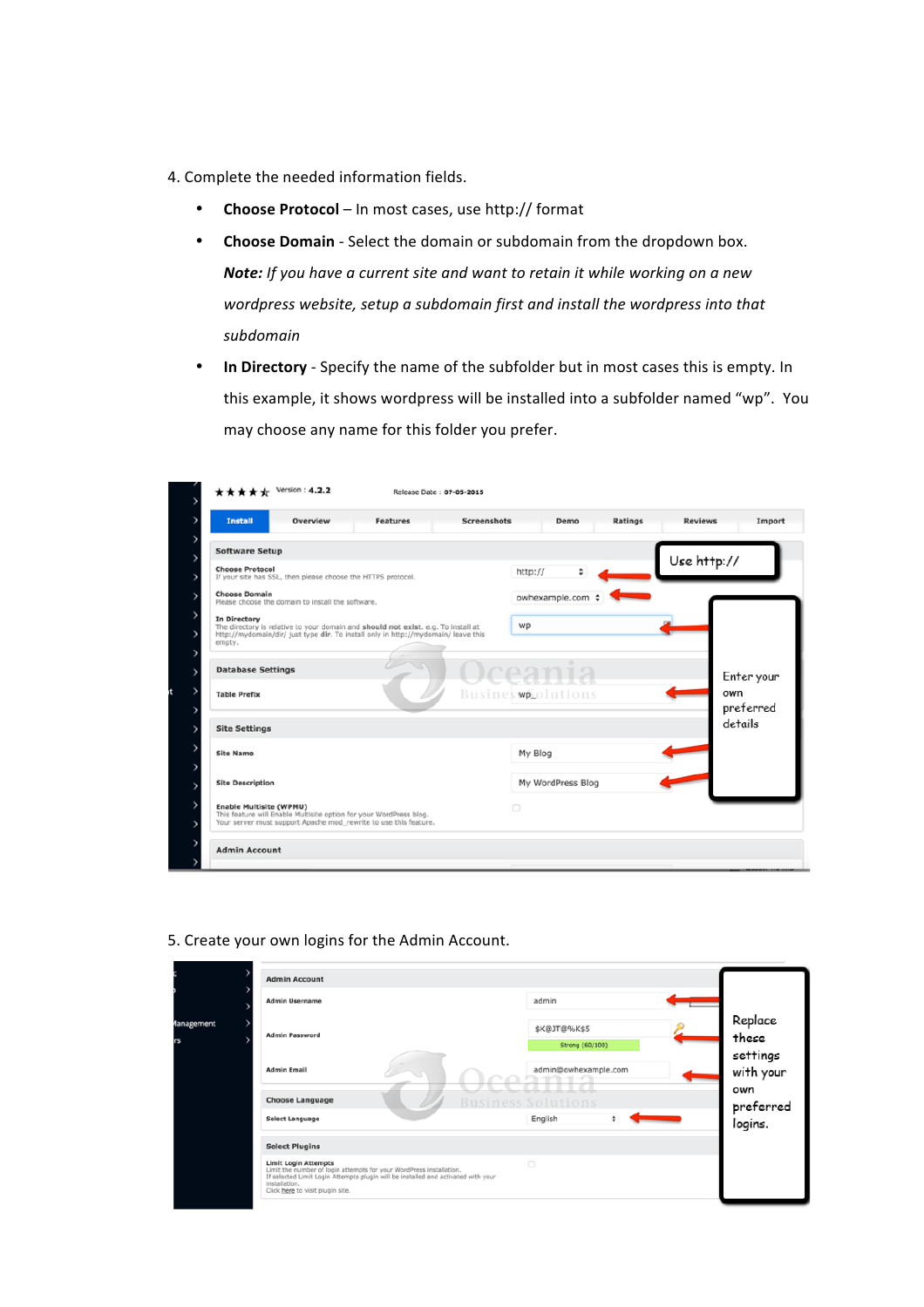- 4. Complete the needed information fields.
	- **Choose Protocol** In most cases, use http:// format
	- **Choose Domain** Select the domain or subdomain from the dropdown box. *Note:* If you have a current site and want to retain it while working on a new wordpress website, setup a subdomain first and install the wordpress into that *subdomain*
	- In Directory Specify the name of the subfolder but in most cases this is empty. In this example, it shows wordpress will be installed into a subfolder named "wp". You may choose any name for this folder you prefer.

| <b>Install</b><br>Overview<br><b>Features</b>                                                                                                                                                     | <b>Screenshots</b><br>Ratings<br>Demo | <b>Reviews</b><br>Import           |
|---------------------------------------------------------------------------------------------------------------------------------------------------------------------------------------------------|---------------------------------------|------------------------------------|
| <b>Software Setup</b>                                                                                                                                                                             |                                       | Use http://                        |
| <b>Choose Protocol</b><br>If your site has SSL, then please choose the HTTPS protocol.                                                                                                            | ٥<br>http://                          |                                    |
| <b>Choose Domain</b><br>Please choose the domain to install the software.                                                                                                                         | owhexample.com                        |                                    |
| In Directory<br>The directory is relative to your domain and should not exist. e.g. To install at<br>http://mydomain/dir/ just type dir. To install only in http://mydomain/ leave this<br>empty. | WD                                    |                                    |
|                                                                                                                                                                                                   |                                       |                                    |
| <b>Database Settings</b>                                                                                                                                                                          |                                       |                                    |
| <b>Table Prefix</b>                                                                                                                                                                               | Busines wp olutions                   | own                                |
| <b>Site Settings</b>                                                                                                                                                                              |                                       | Enter your<br>preferred<br>details |
| <b>Site Name</b>                                                                                                                                                                                  | My Blog                               |                                    |
| <b>Site Description</b>                                                                                                                                                                           | My WordPress Blog                     |                                    |

## 5. Create your own logins for the Admin Account.

| <b>Admin Username</b>                                                                                                                                                                                                                        | admin                                   |                      |
|----------------------------------------------------------------------------------------------------------------------------------------------------------------------------------------------------------------------------------------------|-----------------------------------------|----------------------|
| <b>Admin Password</b>                                                                                                                                                                                                                        | \$K@JT@%K\$5                            | Replace<br>these     |
| <b>Admin Email</b>                                                                                                                                                                                                                           | Strong (60/100)<br>admin@owhexample.com | settings             |
| <b>Choose Language</b>                                                                                                                                                                                                                       | <b>Business Solutions</b>               | with your<br>own     |
| <b>Select Language</b>                                                                                                                                                                                                                       | English<br>÷                            | preferred<br>logins. |
| <b>Select Plugins</b>                                                                                                                                                                                                                        |                                         |                      |
| <b>Limit Login Attempts</b><br>Limit the number of login attempts for your WordPress installation.<br>If selected Limit Login Attempts plugin will be installed and activated with your<br>installation.<br>Click here to visit plugin site. | $\Box$                                  |                      |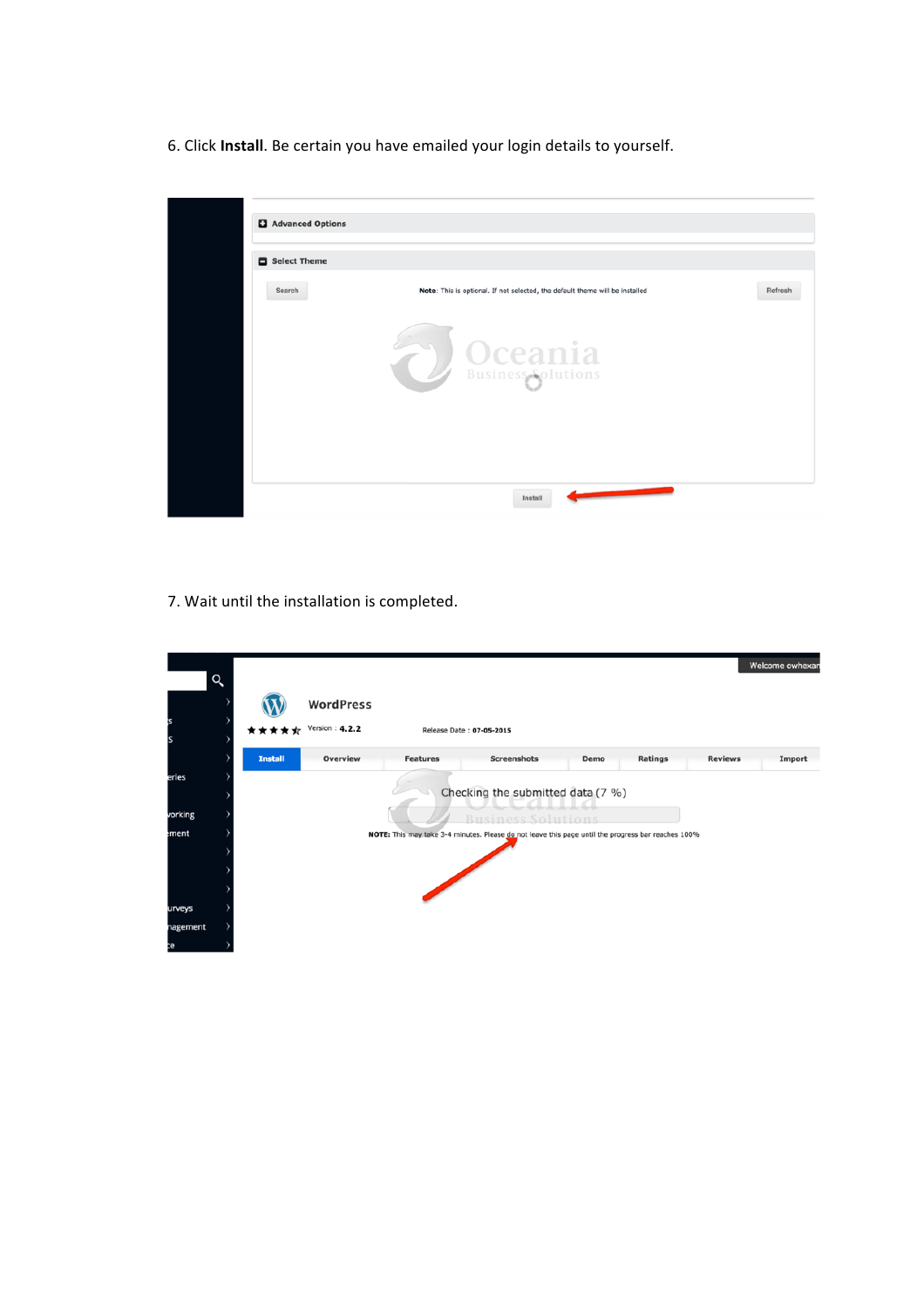6. Click Install. Be certain you have emailed your login details to yourself.

| Search<br>Note: This is optional. If not selected, the default theme will be installed<br><b>D</b> Oceania | Refresh |
|------------------------------------------------------------------------------------------------------------|---------|
|                                                                                                            |         |
|                                                                                                            |         |

7. Wait until the installation is completed.